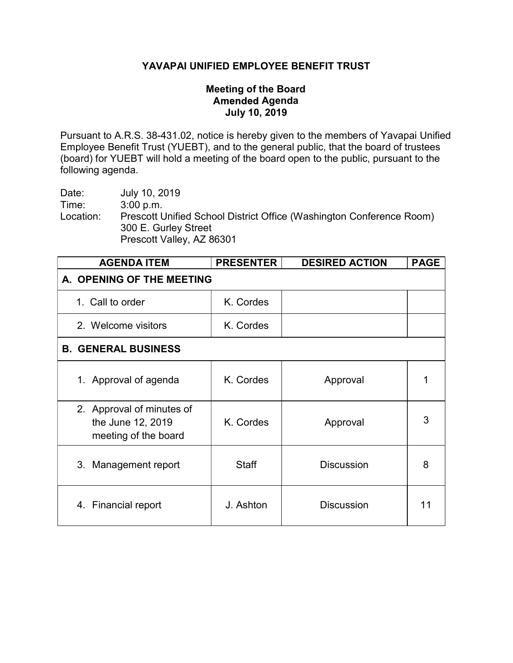## YAVAPAI UNIFIED EMPLOYEE BENEFIT TRUST

## Meeting of the Board **Amended Agenda** July 10, 2019

Pursuant to A.R.S. 38-431.02, notice is hereby given to the members of Yavapai Unified Employee Benefit Trust (YUEBT), and to the general public, that the board of trustees (board) for YUEBT will hold a meeting of the board open to the public, pursuant to the following agenda.

Date: July 10, 2019 Time: 3:00 p.m. Location: Prescott Unified School District Office (Washington Conference Room) 300 E. Gurley Street Prescott Valley, AZ 86301

| <b>AGENDA ITEM</b>                                                     | <b>PRESENTER</b> | <b>DESIRED ACTION</b> | <b>PAGE</b> |  |
|------------------------------------------------------------------------|------------------|-----------------------|-------------|--|
| A. OPENING OF THE MEETING                                              |                  |                       |             |  |
| 1. Call to order                                                       | K. Cordes        |                       |             |  |
| 2. Welcome visitors                                                    | K. Cordes        |                       |             |  |
| <b>B. GENERAL BUSINESS</b>                                             |                  |                       |             |  |
| 1. Approval of agenda                                                  | K. Cordes        | Approval              |             |  |
| 2. Approval of minutes of<br>the June 12, 2019<br>meeting of the board | K. Cordes        | Approval              | 3           |  |
| 3. Management report                                                   | <b>Staff</b>     | <b>Discussion</b>     | 8           |  |
| 4. Financial report                                                    | J. Ashton        | <b>Discussion</b>     | 11          |  |